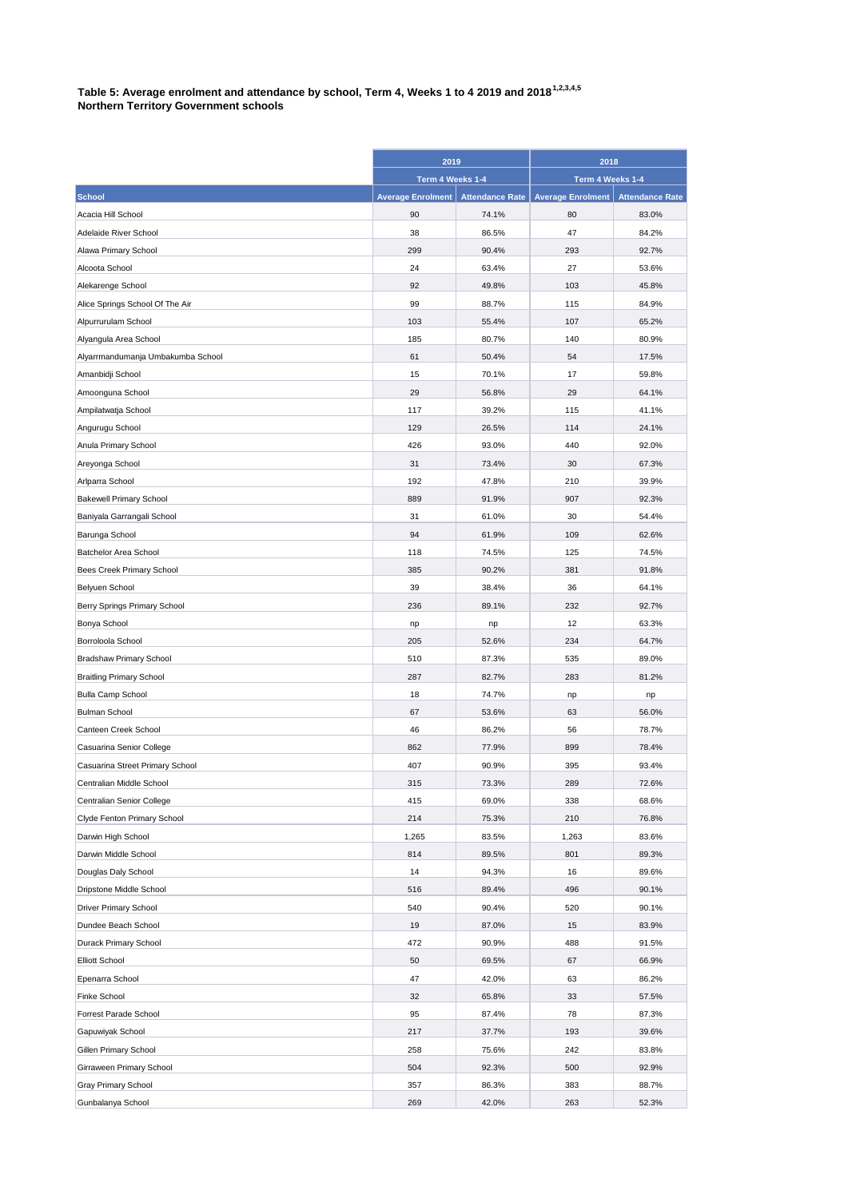## Table 5: Average enrolment and attendance by school, Term 4, Weeks 1 to 4 2019 and 2018<sup>1,2,3,4,5</sup><br>Natthern Taulis **Northern Territory Government schools**

|                                   | 2019<br>Term 4 Weeks 1-4 |                        | 2018<br>Term 4 Weeks 1-4 |                        |
|-----------------------------------|--------------------------|------------------------|--------------------------|------------------------|
|                                   |                          |                        |                          |                        |
| <b>School</b>                     | <b>Average Enrolment</b> | <b>Attendance Rate</b> | <b>Average Enrolment</b> | <b>Attendance Rate</b> |
| Acacia Hill School                | 90                       | 74.1%                  | 80                       | 83.0%                  |
| Adelaide River School             | 38                       | 86.5%                  | 47                       | 84.2%                  |
| Alawa Primary School              | 299                      | 90.4%                  | 293                      | 92.7%                  |
| Alcoota School                    | 24                       | 63.4%                  | 27                       | 53.6%                  |
| Alekarenge School                 | 92                       | 49.8%                  | 103                      | 45.8%                  |
| Alice Springs School Of The Air   | 99                       | 88.7%                  | 115                      | 84.9%                  |
| Alpurrurulam School               | 103                      | 55.4%                  | 107                      | 65.2%                  |
| Alyangula Area School             | 185                      | 80.7%                  | 140                      | 80.9%                  |
| Alyarrmandumanja Umbakumba School | 61                       | 50.4%                  | 54                       | 17.5%                  |
| Amanbidji School                  | 15                       | 70.1%                  | 17                       | 59.8%                  |
| Amoonguna School                  | 29                       | 56.8%                  | 29                       | 64.1%                  |
| Ampilatwatja School               | 117                      | 39.2%                  | 115                      | 41.1%                  |
| Angurugu School                   | 129                      | 26.5%                  | 114                      | 24.1%                  |
| Anula Primary School              | 426                      | 93.0%                  | 440                      | 92.0%                  |
| Areyonga School                   | 31                       | 73.4%                  | 30                       | 67.3%                  |
| Arlparra School                   | 192                      | 47.8%                  | 210                      | 39.9%                  |
| <b>Bakewell Primary School</b>    | 889                      | 91.9%                  | 907                      | 92.3%                  |
| Baniyala Garrangali School        | 31                       | 61.0%                  | 30                       | 54.4%                  |
| Barunga School                    | 94                       | 61.9%                  | 109                      | 62.6%                  |
| Batchelor Area School             | 118                      | 74.5%                  | 125                      | 74.5%                  |
| Bees Creek Primary School         | 385                      | 90.2%                  | 381                      | 91.8%                  |
| Belyuen School                    | 39                       | 38.4%                  | 36                       | 64.1%                  |
| Berry Springs Primary School      | 236                      | 89.1%                  | 232                      | 92.7%                  |
| Bonya School                      | np                       | np                     | 12                       | 63.3%                  |
| Borroloola School                 | 205                      | 52.6%                  | 234                      | 64.7%                  |
| <b>Bradshaw Primary School</b>    | 510                      | 87.3%                  | 535                      | 89.0%                  |
| <b>Braitling Primary School</b>   | 287                      | 82.7%                  | 283                      | 81.2%                  |
| <b>Bulla Camp School</b>          | 18                       | 74.7%                  | np                       | np                     |
| <b>Bulman School</b>              | 67                       | 53.6%                  | 63                       | 56.0%                  |
| Canteen Creek School              | 46                       | 86.2%                  | 56                       | 78.7%                  |
| Casuarina Senior College          | 862                      | 77.9%                  | 899                      | 78.4%                  |
| Casuarina Street Primary School   | 407                      | 90.9%                  | 395                      | 93.4%                  |
| Centralian Middle School          | 315                      | 73.3%                  | 289                      | 72.6%                  |
| Centralian Senior College         | 415                      | 69.0%                  | 338                      | 68.6%                  |
| Clyde Fenton Primary School       | 214                      | 75.3%                  | 210                      | 76.8%                  |
| Darwin High School                | 1,265                    | 83.5%                  | 1,263                    | 83.6%                  |
| Darwin Middle School              | 814                      | 89.5%                  | 801                      | 89.3%                  |
| Douglas Daly School               | 14                       | 94.3%                  | 16                       | 89.6%                  |
| Dripstone Middle School           | 516                      | 89.4%                  | 496                      | 90.1%                  |
| <b>Driver Primary School</b>      | 540                      | 90.4%                  | 520                      | 90.1%                  |
| Dundee Beach School               | 19                       | 87.0%                  | 15                       | 83.9%                  |
| Durack Primary School             | 472                      | 90.9%                  | 488                      | 91.5%                  |
| <b>Elliott School</b>             | 50                       | 69.5%                  | 67                       | 66.9%                  |
| Epenarra School                   | 47                       | 42.0%                  | 63                       | 86.2%                  |
| <b>Finke School</b>               | 32                       | 65.8%                  | 33                       | 57.5%                  |
| Forrest Parade School             | 95                       | 87.4%                  | 78                       | 87.3%                  |
| Gapuwiyak School                  | 217                      | 37.7%                  | 193                      | 39.6%                  |
| Gillen Primary School             | 258                      | 75.6%                  | 242                      | 83.8%                  |
| Girraween Primary School          | 504                      | 92.3%                  | 500                      | 92.9%                  |
| Gray Primary School               | 357                      | 86.3%                  | 383                      | 88.7%                  |
| Gunbalanya School                 | 269                      | 42.0%                  | 263                      | 52.3%                  |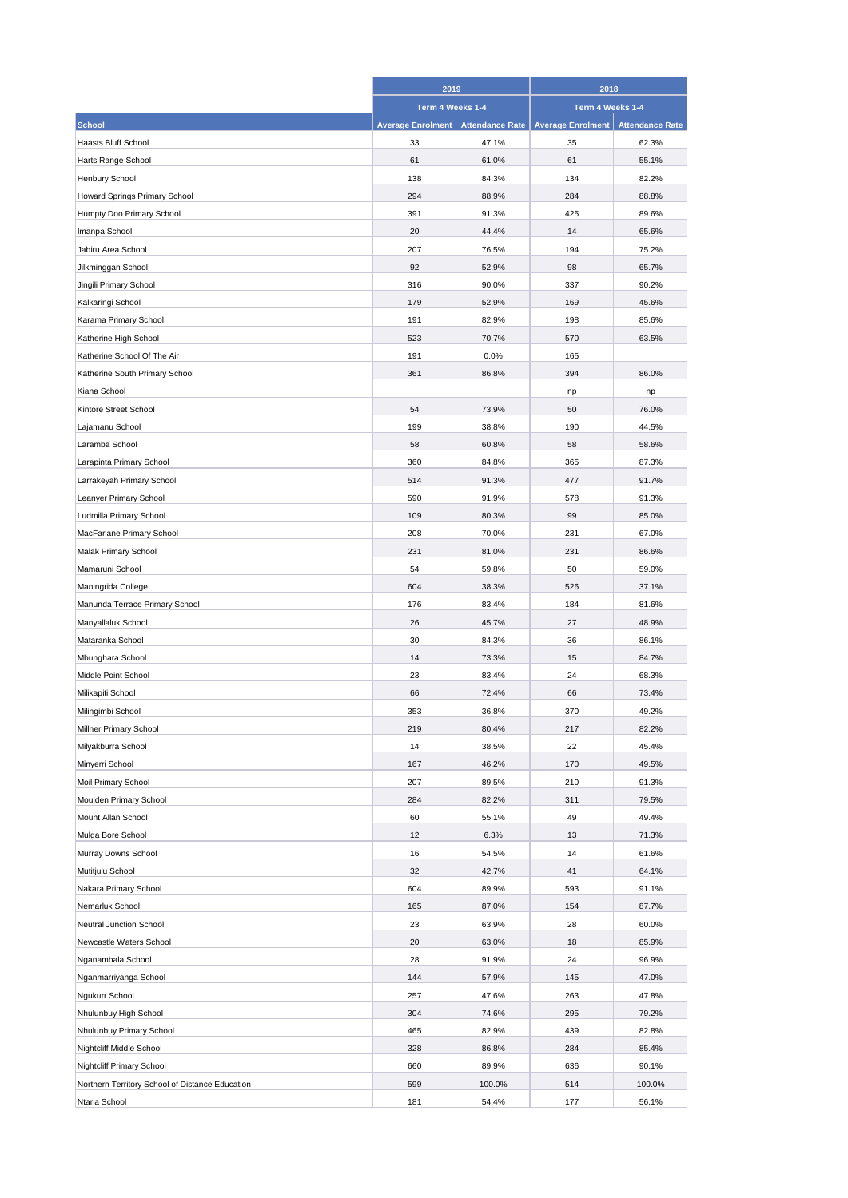|                                                 |                          | 2019<br>Term 4 Weeks 1-4 |                          | 2018<br>Term 4 Weeks 1-4 |  |
|-------------------------------------------------|--------------------------|--------------------------|--------------------------|--------------------------|--|
|                                                 |                          |                          |                          |                          |  |
| <b>School</b>                                   | <b>Average Enrolment</b> | <b>Attendance Rate</b>   | <b>Average Enrolment</b> | <b>Attendance Rate</b>   |  |
| <b>Haasts Bluff School</b>                      | 33                       | 47.1%                    | 35                       | 62.3%                    |  |
| Harts Range School                              | 61                       | 61.0%                    | 61                       | 55.1%                    |  |
| Henbury School                                  | 138                      | 84.3%                    | 134                      | 82.2%                    |  |
| Howard Springs Primary School                   | 294                      | 88.9%                    | 284                      | 88.8%                    |  |
| Humpty Doo Primary School                       | 391                      | 91.3%                    | 425                      | 89.6%                    |  |
| Imanpa School                                   | 20                       | 44.4%                    | 14                       | 65.6%                    |  |
| Jabiru Area School                              | 207                      | 76.5%                    | 194                      | 75.2%                    |  |
| Jilkminggan School                              | 92                       | 52.9%                    | 98                       | 65.7%                    |  |
| Jingili Primary School                          | 316                      | 90.0%                    | 337                      | 90.2%                    |  |
|                                                 | 179                      | 52.9%                    | 169                      | 45.6%                    |  |
| Kalkaringi School                               |                          |                          |                          |                          |  |
| Karama Primary School                           | 191                      | 82.9%                    | 198                      | 85.6%                    |  |
| Katherine High School                           | 523                      | 70.7%                    | 570                      | 63.5%                    |  |
| Katherine School Of The Air                     | 191                      | 0.0%                     | 165                      |                          |  |
| Katherine South Primary School                  | 361                      | 86.8%                    | 394                      | 86.0%                    |  |
| Kiana School                                    |                          |                          | np                       | np                       |  |
| Kintore Street School                           | 54                       | 73.9%                    | 50                       | 76.0%                    |  |
| Lajamanu School                                 | 199                      | 38.8%                    | 190                      | 44.5%                    |  |
| Laramba School                                  | 58                       | 60.8%                    | 58                       | 58.6%                    |  |
| Larapinta Primary School                        | 360                      | 84.8%                    | 365                      | 87.3%                    |  |
| Larrakeyah Primary School                       | 514                      | 91.3%                    | 477                      | 91.7%                    |  |
| Leanyer Primary School                          | 590                      | 91.9%                    | 578                      | 91.3%                    |  |
| Ludmilla Primary School                         | 109                      | 80.3%                    | 99                       | 85.0%                    |  |
| MacFarlane Primary School                       | 208                      | 70.0%                    | 231                      | 67.0%                    |  |
| Malak Primary School                            | 231                      | 81.0%                    | 231                      | 86.6%                    |  |
| Mamaruni School                                 | 54                       | 59.8%                    | 50                       | 59.0%                    |  |
| Maningrida College                              | 604                      | 38.3%                    | 526                      | 37.1%                    |  |
| Manunda Terrace Primary School                  | 176                      | 83.4%                    | 184                      | 81.6%                    |  |
| Manyallaluk School                              | 26                       | 45.7%                    | 27                       | 48.9%                    |  |
| Mataranka School                                | 30                       | 84.3%                    | 36                       | 86.1%                    |  |
| Mbunghara School                                | 14                       | 73.3%                    | 15                       | 84.7%                    |  |
| Middle Point School                             | 23                       | 83.4%                    | 24                       | 68.3%                    |  |
| Milikapiti School                               | 66                       | 72.4%                    | 66                       | 73.4%                    |  |
| Milingimbi School                               | 353                      | 36.8%                    | 370                      | 49.2%                    |  |
| Millner Primary School                          | 219                      | 80.4%                    | 217                      | 82.2%                    |  |
| Milyakburra School                              | 14                       | 38.5%                    | 22                       | 45.4%                    |  |
| Minyerri School                                 | 167                      | 46.2%                    | 170                      | 49.5%                    |  |
| Moil Primary School                             | 207                      | 89.5%                    | 210                      | 91.3%                    |  |
| Moulden Primary School                          | 284                      | 82.2%                    | 311                      | 79.5%                    |  |
| Mount Allan School                              | 60                       | 55.1%                    | 49                       | 49.4%                    |  |
| Mulga Bore School                               | 12                       | 6.3%                     | 13                       | 71.3%                    |  |
| Murray Downs School                             | 16                       | 54.5%                    | 14                       | 61.6%                    |  |
| Mutitjulu School                                | 32                       | 42.7%                    | 41                       | 64.1%                    |  |
| Nakara Primary School                           | 604                      | 89.9%                    | 593                      | 91.1%                    |  |
| Nemarluk School                                 | 165                      | 87.0%                    | 154                      | 87.7%                    |  |
|                                                 |                          |                          |                          |                          |  |
| Neutral Junction School                         | 23                       | 63.9%                    | 28                       | 60.0%                    |  |
| Newcastle Waters School                         | 20                       | 63.0%                    | 18                       | 85.9%                    |  |
| Nganambala School                               | 28                       | 91.9%                    | 24                       | 96.9%                    |  |
| Nganmarriyanga School                           | 144                      | 57.9%                    | 145                      | 47.0%                    |  |
| Ngukurr School                                  | 257                      | 47.6%                    | 263                      | 47.8%                    |  |
| Nhulunbuy High School                           | 304                      | 74.6%                    | 295                      | 79.2%                    |  |
| Nhulunbuy Primary School                        | 465                      | 82.9%                    | 439                      | 82.8%                    |  |
| Nightcliff Middle School                        | 328                      | 86.8%                    | 284                      | 85.4%                    |  |
| Nightcliff Primary School                       | 660                      | 89.9%                    | 636                      | 90.1%                    |  |
| Northern Territory School of Distance Education | 599                      | 100.0%                   | 514                      | 100.0%                   |  |
| Ntaria School                                   | 181                      | 54.4%                    | 177                      | 56.1%                    |  |